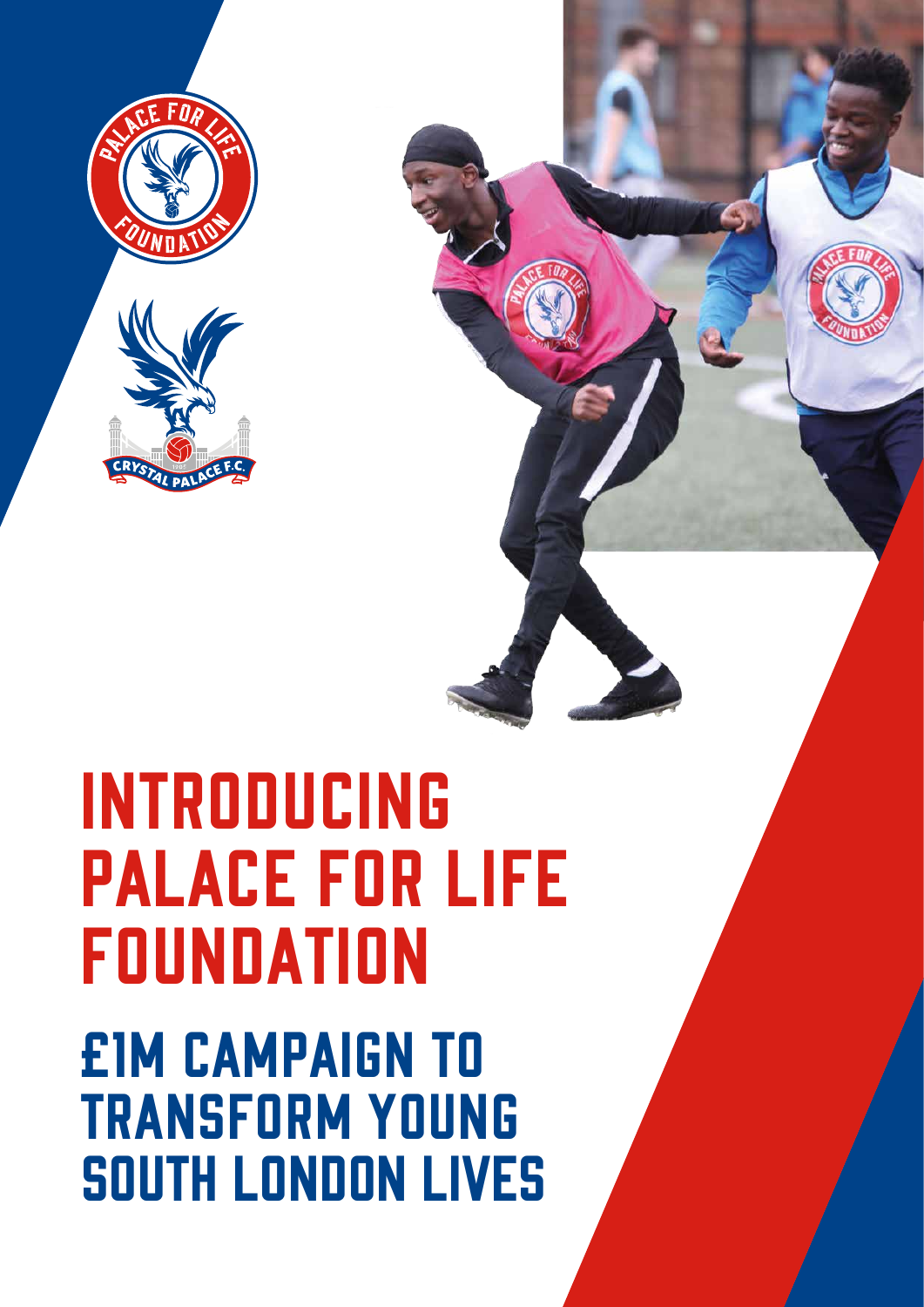

### Introducing Palace for Life **FOUNDATION** £1m campaign to transform young south London lives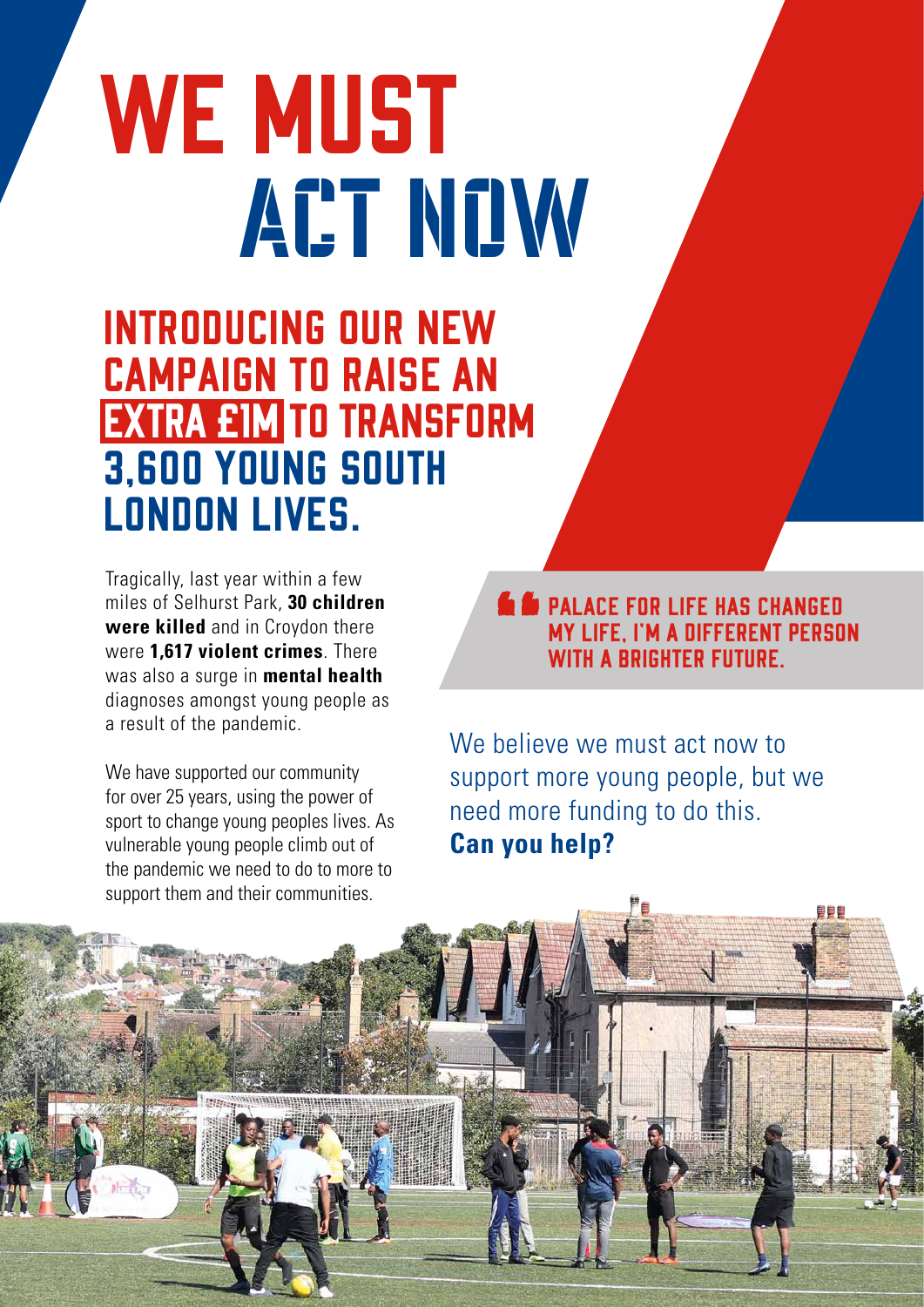# WE MUST ACT NOW

Introducing our new campaign to raise an extra £1m to transform 3,600 young south London lives.

Tragically, last year within a few miles of Selhurst Park, **30 children were killed** and in Croydon there were **1,617 violent crimes**. There was also a surge in **mental health** diagnoses amongst young people as a result of the pandemic.

We have supported our community for over 25 years, using the power of sport to change young peoples lives. As vulnerable young people climb out of the pandemic we need to do to more to support them and their communities.

**Second PALACE FOR LIFE HAS CHANGED** my life, I'm a different person WITH A BRIGHTER FUTURE.

palaceforlife. The parties of the second series of the series of the series of the series of the series of the

We believe we must act now to support more young people, but we need more funding to do this. **Can you help?**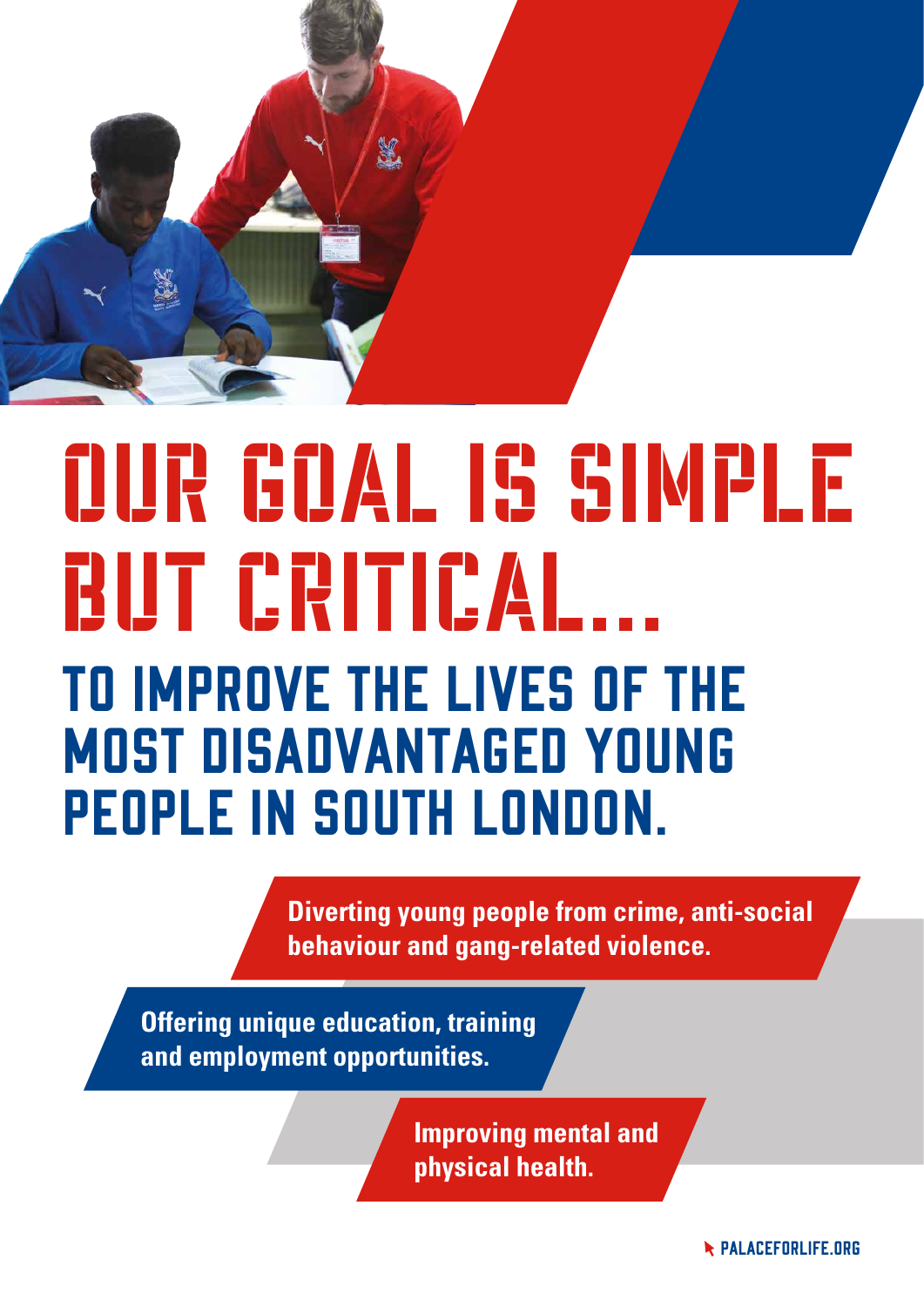

# To improve the lives of the most disadvantaged young people in south London. Our goal is simple BUT CRITICAL...

**Diverting young people from crime, anti-social behaviour and gang-related violence.**

**Offering unique education, training and employment opportunities.**

> **Improving mental and physical health.**

> > **R** PALACEFORLIFE.ORG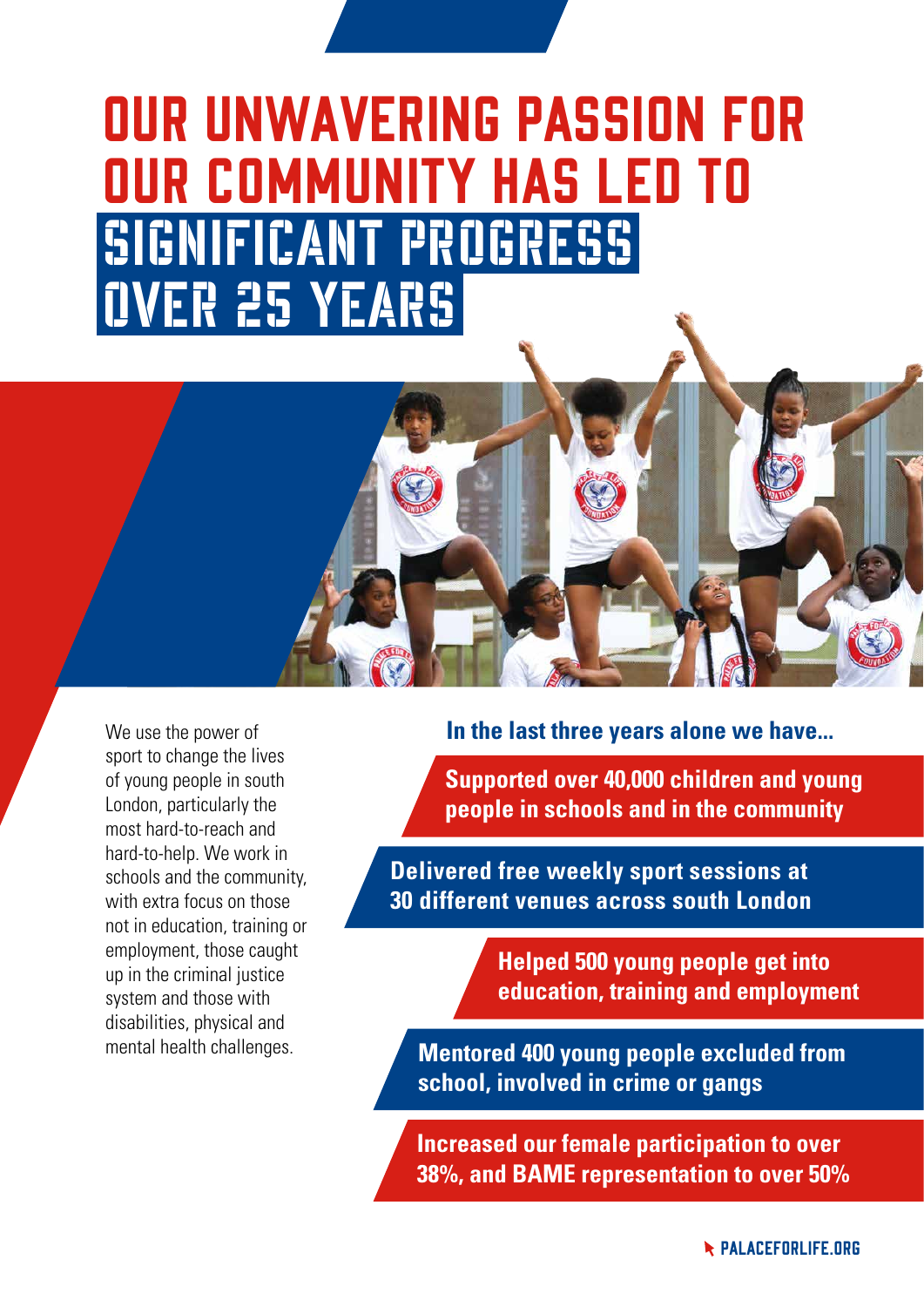### Our unwavering passion for our community has led to significant progress over 25 years

We use the power of sport to change the lives of young people in south London, particularly the most hard-to-reach and hard-to-help. We work in schools and the community, with extra focus on those not in education, training or employment, those caught up in the criminal justice system and those with disabilities, physical and mental health challenges.

**In the last three years alone we have...**

**Supported over 40,000 children and young people in schools and in the community**

**Delivered free weekly sport sessions at 30 different venues across south London**

> **Helped 500 young people get into education, training and employment**

**Mentored 400 young people excluded from school, involved in crime or gangs**

**Increased our female participation to over 38%, and BAME representation to over 50%**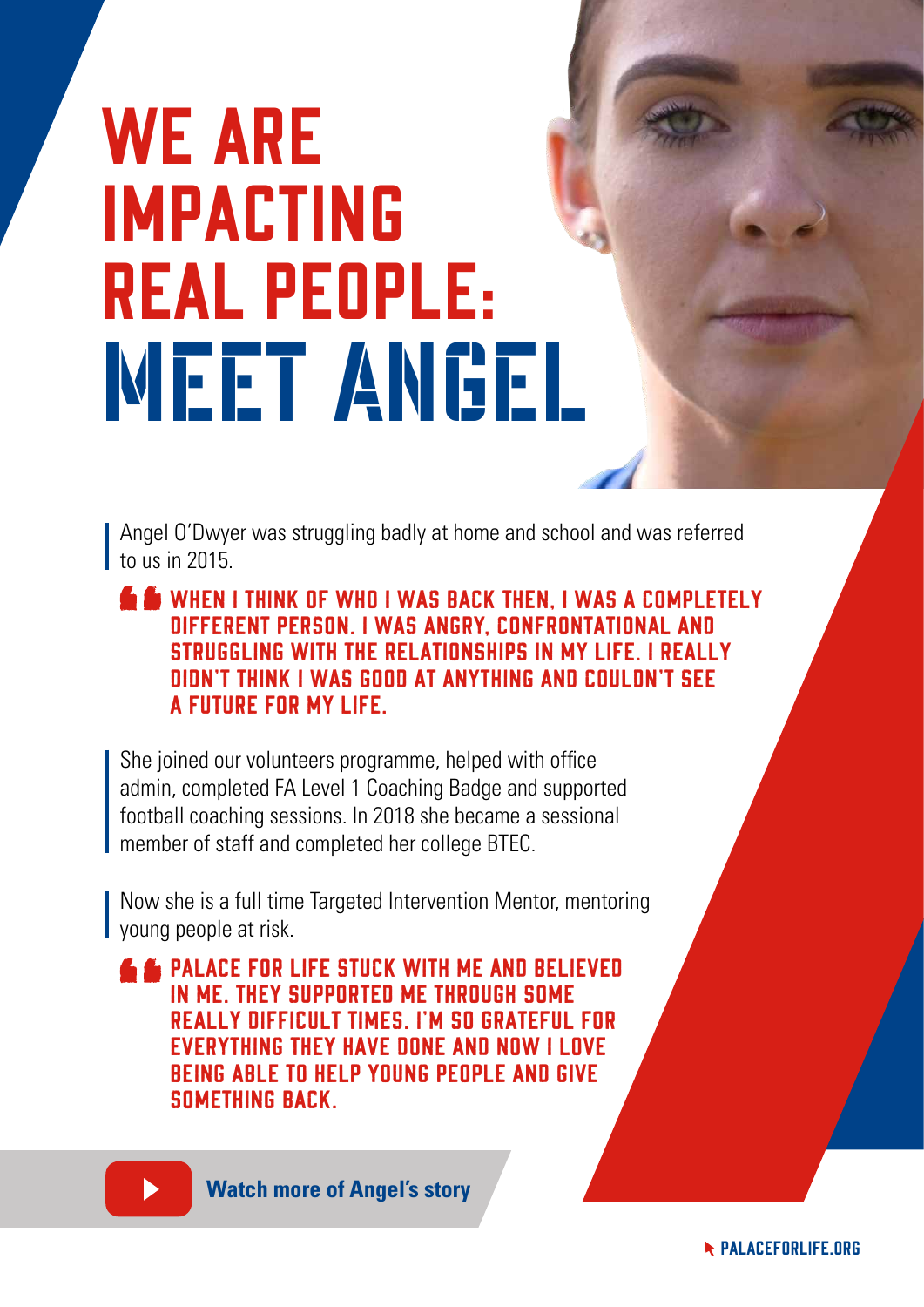# WE ARE impacting real people: MEET ANGEL

Angel O'Dwyer was struggling badly at home and school and was referred  $\frac{1}{2}$  to us in 2015.

When I think of who I was back then, I was a completely different person. I was angry, confrontational and struggling with the relationships in my life. I really didn't think I was good at anything and couldn't see a future for my life.

She joined our volunteers programme, helped with office admin, completed FA Level 1 Coaching Badge and supported football coaching sessions. In 2018 she became a sessional member of staff and completed her college BTEC.

Now she is a full time Targeted Intervention Mentor, mentoring young people at risk.

**E** PALACE FOR LIFE STUCK WITH ME AND BELIEVED in me. They supported me through some really difficult times. I'm so grateful for everything they have done and now I love being able to help young people and give something back.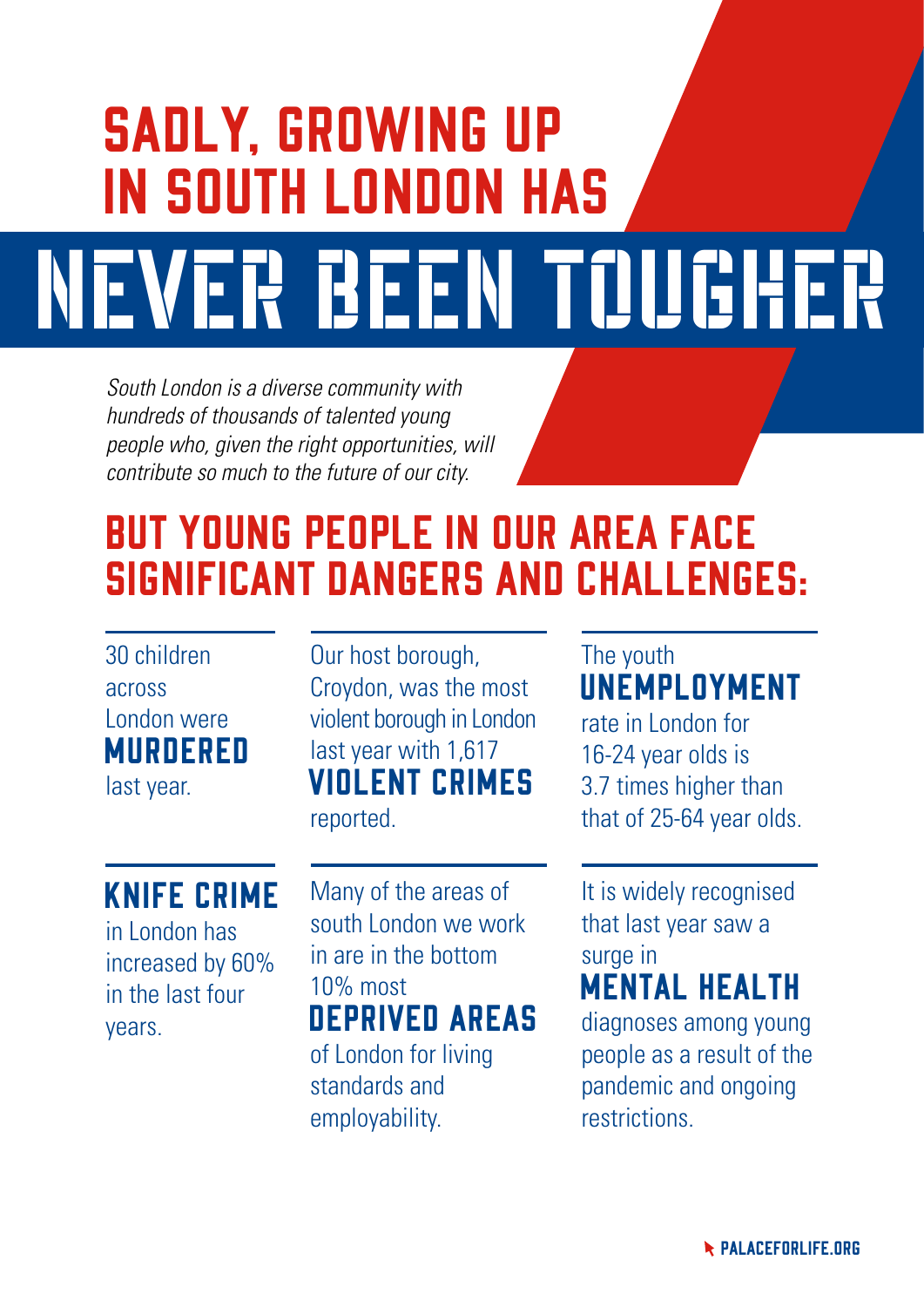# Sadly, growing up in south London has NEVER BEEN TOUGHER

*South London is a diverse community with hundreds of thousands of talented young people who, given the right opportunities, will contribute so much to the future of our city.*

#### But young people in our area face significant dangers and challenges:

#### 30 children across London were **MURDERED**

last year.

#### Knife crime

in London has increased by 60% in the last four years.

Our host borough, Croydon, was the most violent borough in London last year with 1,617 violent crimes reported.

Many of the areas of south London we work in are in the bottom 10% most deprived areas of London for living standards and employability.

#### The youth **UNEMPLOYMENT**

rate in London for 16-24 year olds is 3.7 times higher than that of 25-64 year olds.

It is widely recognised that last year saw a surge in

#### mental health

diagnoses among young people as a result of the pandemic and ongoing restrictions.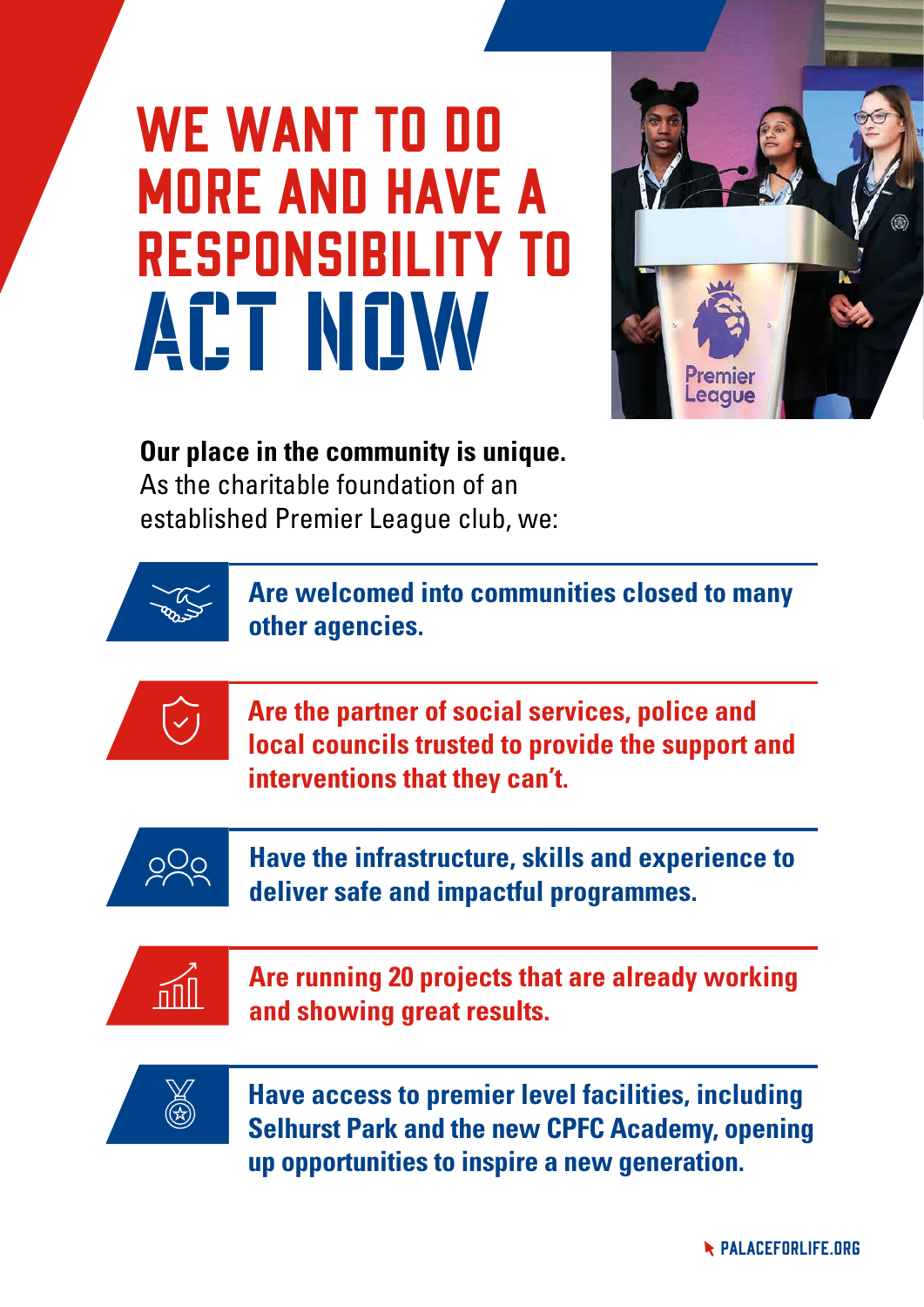## WE WANT TO DO more and have a responsibility to ACT NOW



#### **Our place in the community is unique.**

As the charitable foundation of an established Premier League club, we:



**Are welcomed into communities closed to many other agencies.**



**Are the partner of social services, police and local councils trusted to provide the support and interventions that they can't.**



**Have the infrastructure, skills and experience to deliver safe and impactful programmes.**



**Are running 20 projects that are already working and showing great results.**



**Have access to premier level facilities, including Selhurst Park and the new CPFC Academy, opening up opportunities to inspire a new generation.**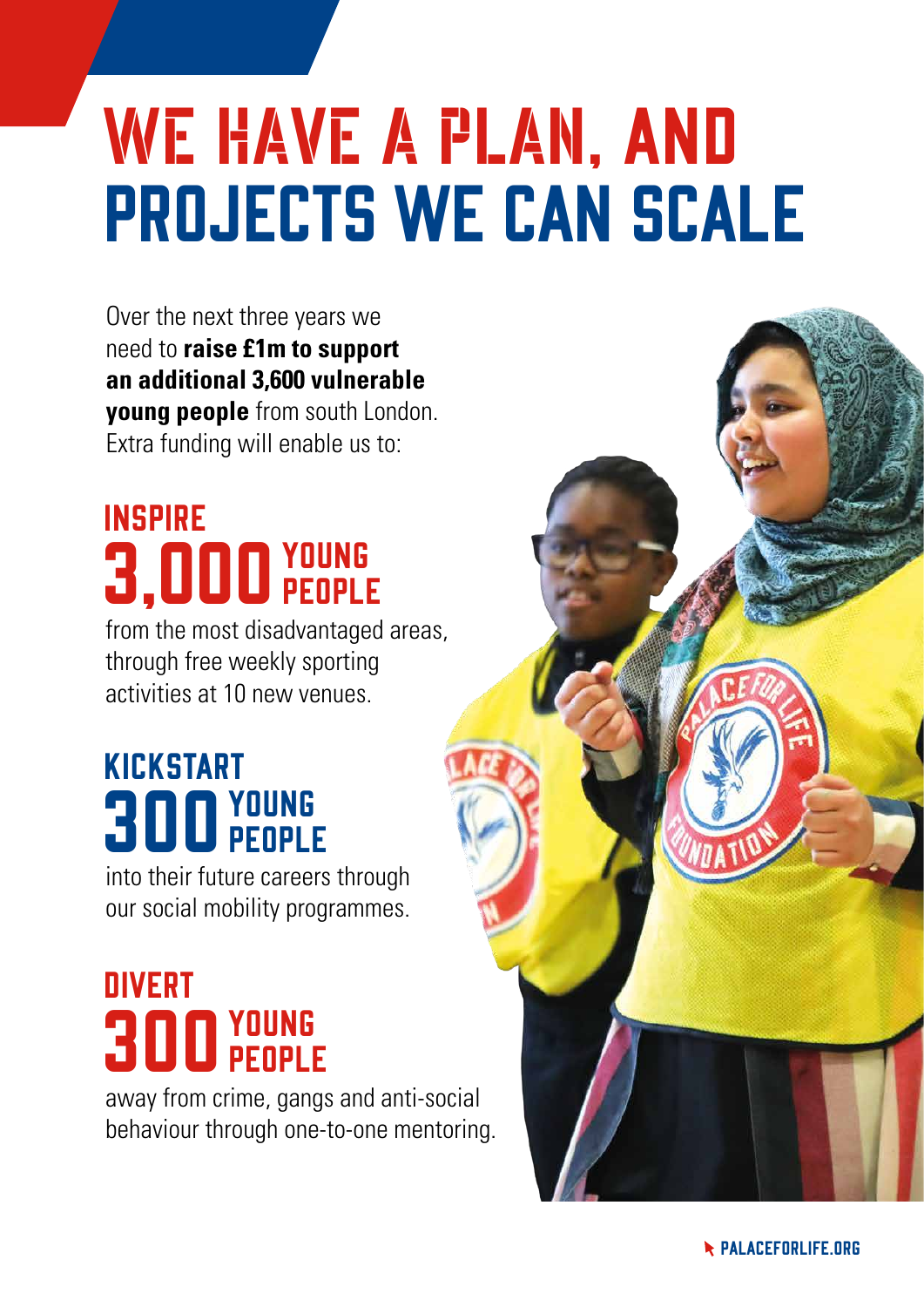# WE HAVE A PLAN, AND projects we can scale

Over the next three years we need to **raise £1m to support an additional 3,600 vulnerable young people** from south London. Extra funding will enable us to:

#### **3,000 YOUNG** INSPIRE people

from the most disadvantaged areas, through free weekly sporting activities at 10 new venues.

#### **300 YOUNG** KICKSTART people

into their future careers through our social mobility programmes.

#### **300 YOUNG DIVERT** people

away from crime, gangs and anti-social behaviour through one-to-one mentoring.

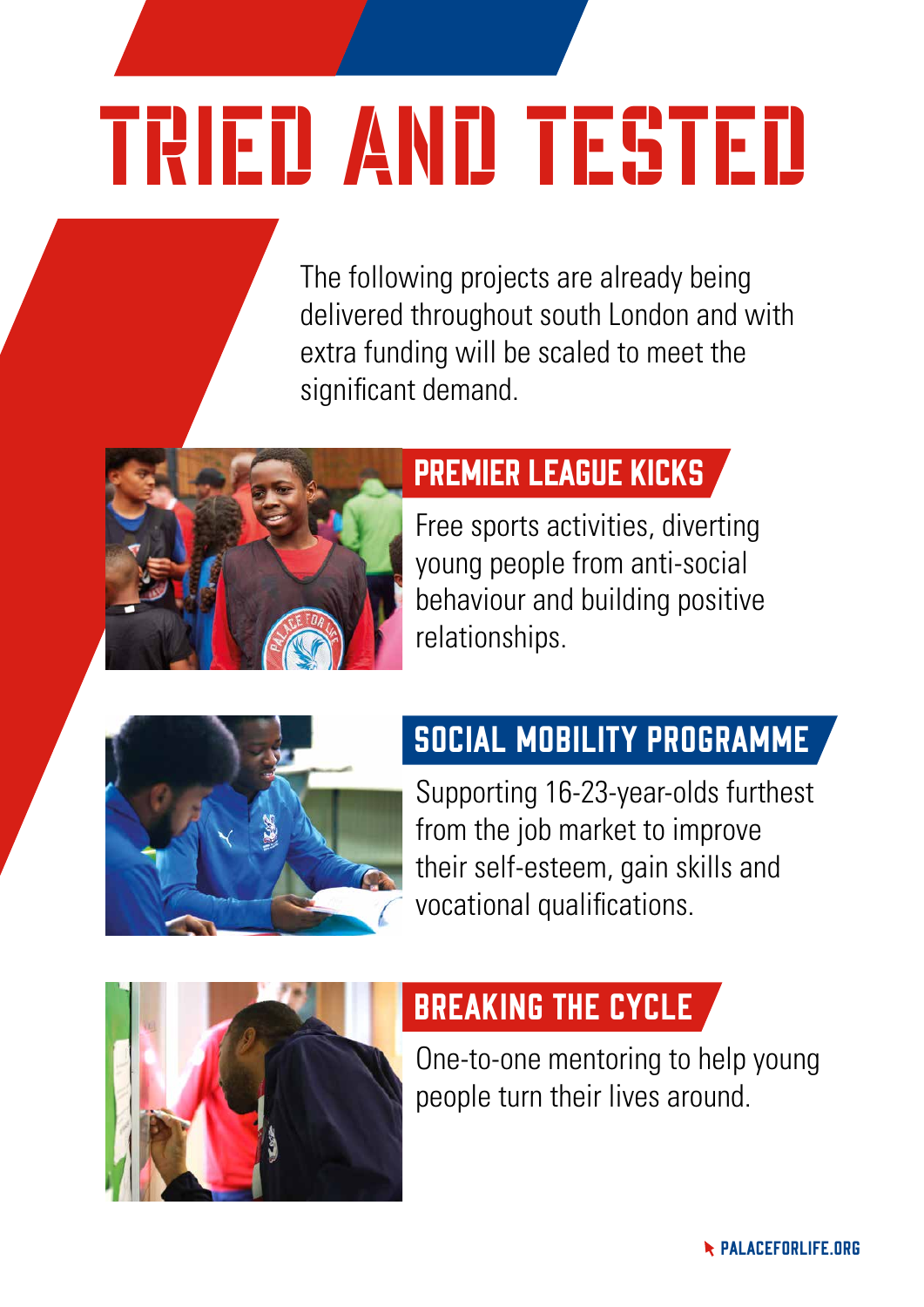# Tried and TESTED

The following projects are already being delivered throughout south London and with extra funding will be scaled to meet the significant demand.



#### Premier League Kicks

Free sports activities, diverting young people from anti-social behaviour and building positive relationships.



#### Social Mobility Programme

Supporting 16-23-year-olds furthest from the job market to improve their self-esteem, gain skills and vocational qualifications.



#### Breaking the Cycle

One-to-one mentoring to help young people turn their lives around.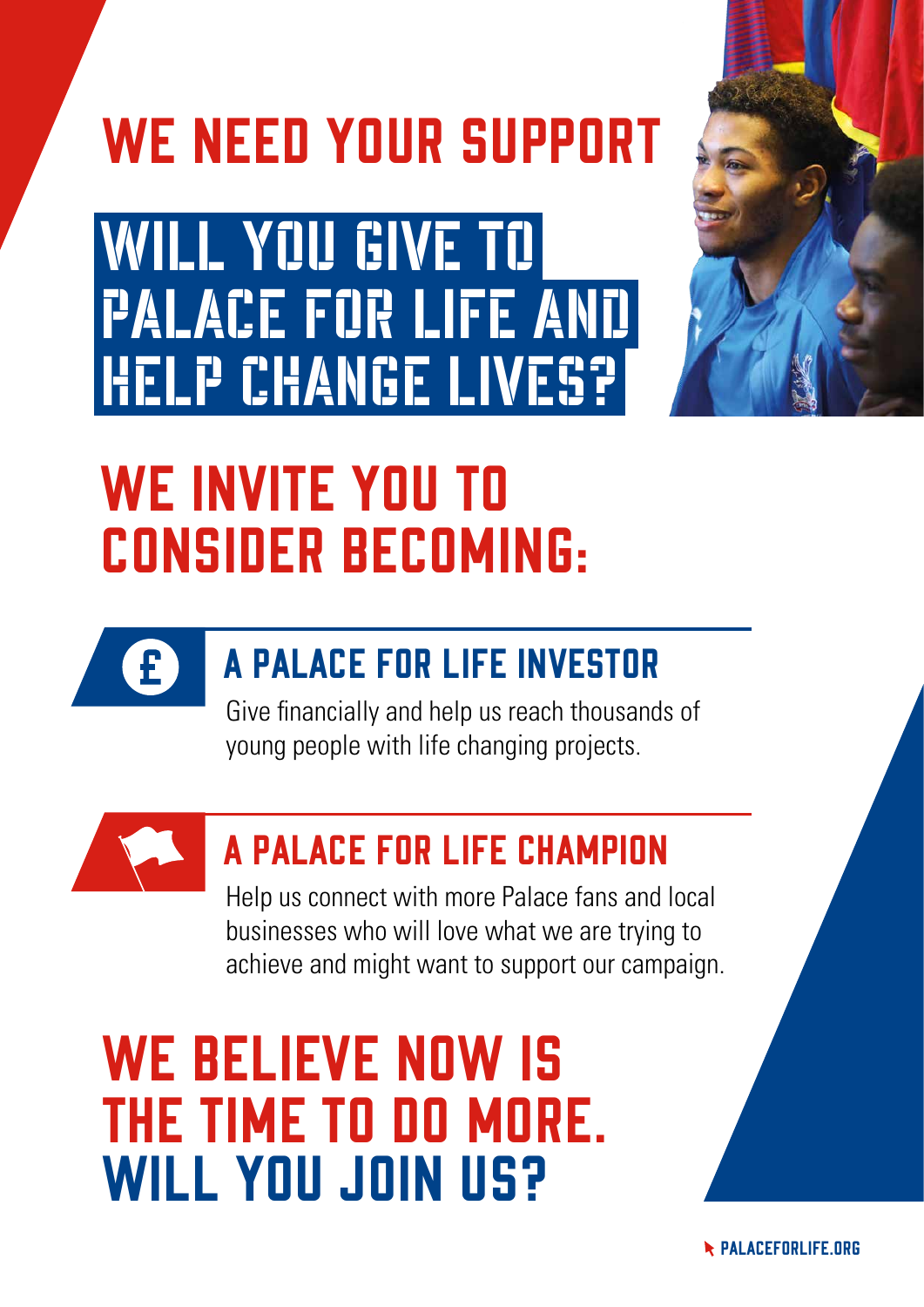## WE NEED YOUR SUPPORT

WILL YOU GIVE TO Palace for Life and **HELP CHANGE LIVES?** 



### WE INVITE YOU TO consider becoming:



### A Palace for Life Investor

Give financially and help us reach thousands of young people with life changing projects.



#### A Palace for Life Champion

Help us connect with more Palace fans and local businesses who will love what we are trying to achieve and might want to support our campaign.

### WE BELIEVE NOW IS the time to do more. WILL YOU JOIN US?